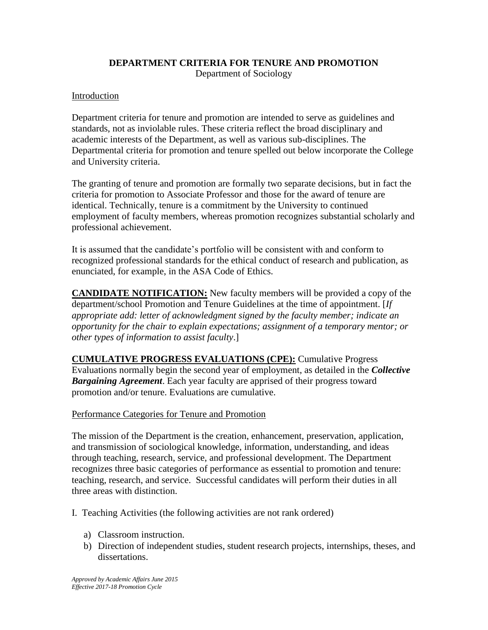# **DEPARTMENT CRITERIA FOR TENURE AND PROMOTION**

Department of Sociology

## Introduction

Department criteria for tenure and promotion are intended to serve as guidelines and standards, not as inviolable rules. These criteria reflect the broad disciplinary and academic interests of the Department, as well as various sub-disciplines. The Departmental criteria for promotion and tenure spelled out below incorporate the College and University criteria.

The granting of tenure and promotion are formally two separate decisions, but in fact the criteria for promotion to Associate Professor and those for the award of tenure are identical. Technically, tenure is a commitment by the University to continued employment of faculty members, whereas promotion recognizes substantial scholarly and professional achievement.

It is assumed that the candidate's portfolio will be consistent with and conform to recognized professional standards for the ethical conduct of research and publication, as enunciated, for example, in the ASA Code of Ethics.

**CANDIDATE NOTIFICATION:** New faculty members will be provided a copy of the department/school Promotion and Tenure Guidelines at the time of appointment. [*If appropriate add: letter of acknowledgment signed by the faculty member; indicate an opportunity for the chair to explain expectations; assignment of a temporary mentor; or other types of information to assist faculty*.]

**CUMULATIVE PROGRESS EVALUATIONS (CPE):** Cumulative Progress Evaluations normally begin the second year of employment, as detailed in the *Collective Bargaining Agreement*. Each year faculty are apprised of their progress toward promotion and/or tenure. Evaluations are cumulative.

## Performance Categories for Tenure and Promotion

The mission of the Department is the creation, enhancement, preservation, application, and transmission of sociological knowledge, information, understanding, and ideas through teaching, research, service, and professional development. The Department recognizes three basic categories of performance as essential to promotion and tenure: teaching, research, and service. Successful candidates will perform their duties in all three areas with distinction.

- I. Teaching Activities (the following activities are not rank ordered)
	- a) Classroom instruction.
	- b) Direction of independent studies, student research projects, internships, theses, and dissertations.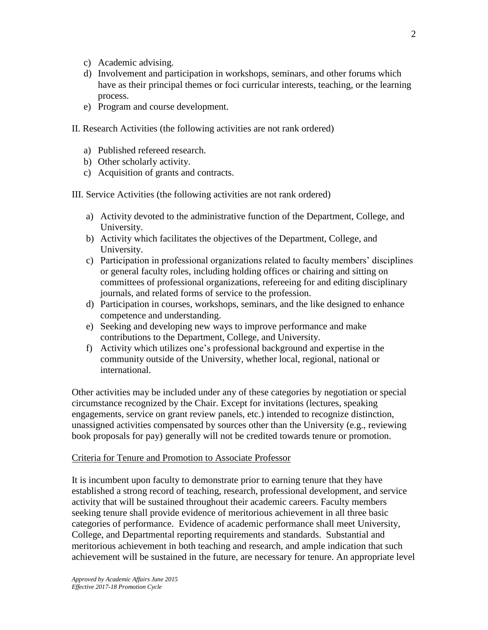- c) Academic advising.
- d) Involvement and participation in workshops, seminars, and other forums which have as their principal themes or foci curricular interests, teaching, or the learning process.
- e) Program and course development.
- II. Research Activities (the following activities are not rank ordered)
	- a) Published refereed research.
	- b) Other scholarly activity.
	- c) Acquisition of grants and contracts.

III. Service Activities (the following activities are not rank ordered)

- a) Activity devoted to the administrative function of the Department, College, and University.
- b) Activity which facilitates the objectives of the Department, College, and University.
- c) Participation in professional organizations related to faculty members' disciplines or general faculty roles, including holding offices or chairing and sitting on committees of professional organizations, refereeing for and editing disciplinary journals, and related forms of service to the profession.
- d) Participation in courses, workshops, seminars, and the like designed to enhance competence and understanding.
- e) Seeking and developing new ways to improve performance and make contributions to the Department, College, and University.
- f) Activity which utilizes one's professional background and expertise in the community outside of the University, whether local, regional, national or international.

Other activities may be included under any of these categories by negotiation or special circumstance recognized by the Chair. Except for invitations (lectures, speaking engagements, service on grant review panels, etc.) intended to recognize distinction, unassigned activities compensated by sources other than the University (e.g., reviewing book proposals for pay) generally will not be credited towards tenure or promotion.

### Criteria for Tenure and Promotion to Associate Professor

It is incumbent upon faculty to demonstrate prior to earning tenure that they have established a strong record of teaching, research, professional development, and service activity that will be sustained throughout their academic careers. Faculty members seeking tenure shall provide evidence of meritorious achievement in all three basic categories of performance. Evidence of academic performance shall meet University, College, and Departmental reporting requirements and standards. Substantial and meritorious achievement in both teaching and research, and ample indication that such achievement will be sustained in the future, are necessary for tenure. An appropriate level

 $\mathcal{L}$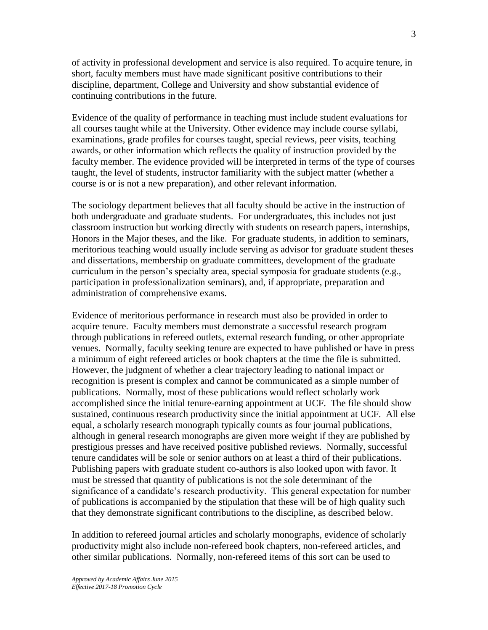of activity in professional development and service is also required. To acquire tenure, in short, faculty members must have made significant positive contributions to their discipline, department, College and University and show substantial evidence of continuing contributions in the future.

Evidence of the quality of performance in teaching must include student evaluations for all courses taught while at the University. Other evidence may include course syllabi, examinations, grade profiles for courses taught, special reviews, peer visits, teaching awards, or other information which reflects the quality of instruction provided by the faculty member. The evidence provided will be interpreted in terms of the type of courses taught, the level of students, instructor familiarity with the subject matter (whether a course is or is not a new preparation), and other relevant information.

The sociology department believes that all faculty should be active in the instruction of both undergraduate and graduate students. For undergraduates, this includes not just classroom instruction but working directly with students on research papers, internships, Honors in the Major theses, and the like. For graduate students, in addition to seminars, meritorious teaching would usually include serving as advisor for graduate student theses and dissertations, membership on graduate committees, development of the graduate curriculum in the person's specialty area, special symposia for graduate students (e.g., participation in professionalization seminars), and, if appropriate, preparation and administration of comprehensive exams.

Evidence of meritorious performance in research must also be provided in order to acquire tenure. Faculty members must demonstrate a successful research program through publications in refereed outlets, external research funding, or other appropriate venues. Normally, faculty seeking tenure are expected to have published or have in press a minimum of eight refereed articles or book chapters at the time the file is submitted. However, the judgment of whether a clear trajectory leading to national impact or recognition is present is complex and cannot be communicated as a simple number of publications. Normally, most of these publications would reflect scholarly work accomplished since the initial tenure-earning appointment at UCF. The file should show sustained, continuous research productivity since the initial appointment at UCF. All else equal, a scholarly research monograph typically counts as four journal publications, although in general research monographs are given more weight if they are published by prestigious presses and have received positive published reviews. Normally, successful tenure candidates will be sole or senior authors on at least a third of their publications. Publishing papers with graduate student co-authors is also looked upon with favor. It must be stressed that quantity of publications is not the sole determinant of the significance of a candidate's research productivity. This general expectation for number of publications is accompanied by the stipulation that these will be of high quality such that they demonstrate significant contributions to the discipline, as described below.

In addition to refereed journal articles and scholarly monographs, evidence of scholarly productivity might also include non-refereed book chapters, non-refereed articles, and other similar publications. Normally, non-refereed items of this sort can be used to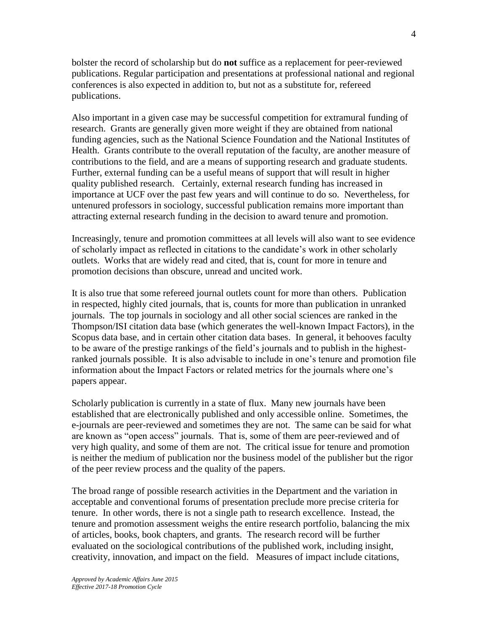bolster the record of scholarship but do **not** suffice as a replacement for peer-reviewed publications. Regular participation and presentations at professional national and regional conferences is also expected in addition to, but not as a substitute for, refereed publications.

Also important in a given case may be successful competition for extramural funding of research. Grants are generally given more weight if they are obtained from national funding agencies, such as the National Science Foundation and the National Institutes of Health. Grants contribute to the overall reputation of the faculty, are another measure of contributions to the field, and are a means of supporting research and graduate students. Further, external funding can be a useful means of support that will result in higher quality published research. Certainly, external research funding has increased in importance at UCF over the past few years and will continue to do so. Nevertheless, for untenured professors in sociology, successful publication remains more important than attracting external research funding in the decision to award tenure and promotion.

Increasingly, tenure and promotion committees at all levels will also want to see evidence of scholarly impact as reflected in citations to the candidate's work in other scholarly outlets. Works that are widely read and cited, that is, count for more in tenure and promotion decisions than obscure, unread and uncited work.

It is also true that some refereed journal outlets count for more than others. Publication in respected, highly cited journals, that is, counts for more than publication in unranked journals. The top journals in sociology and all other social sciences are ranked in the Thompson/ISI citation data base (which generates the well-known Impact Factors), in the Scopus data base, and in certain other citation data bases. In general, it behooves faculty to be aware of the prestige rankings of the field's journals and to publish in the highestranked journals possible. It is also advisable to include in one's tenure and promotion file information about the Impact Factors or related metrics for the journals where one's papers appear.

Scholarly publication is currently in a state of flux. Many new journals have been established that are electronically published and only accessible online. Sometimes, the e-journals are peer-reviewed and sometimes they are not. The same can be said for what are known as "open access" journals. That is, some of them are peer-reviewed and of very high quality, and some of them are not. The critical issue for tenure and promotion is neither the medium of publication nor the business model of the publisher but the rigor of the peer review process and the quality of the papers.

The broad range of possible research activities in the Department and the variation in acceptable and conventional forums of presentation preclude more precise criteria for tenure. In other words, there is not a single path to research excellence. Instead, the tenure and promotion assessment weighs the entire research portfolio, balancing the mix of articles, books, book chapters, and grants. The research record will be further evaluated on the sociological contributions of the published work, including insight, creativity, innovation, and impact on the field. Measures of impact include citations,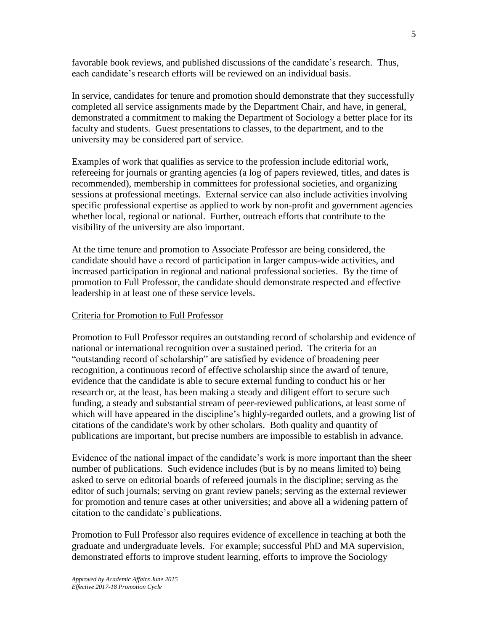favorable book reviews, and published discussions of the candidate's research. Thus, each candidate's research efforts will be reviewed on an individual basis.

In service, candidates for tenure and promotion should demonstrate that they successfully completed all service assignments made by the Department Chair, and have, in general, demonstrated a commitment to making the Department of Sociology a better place for its faculty and students. Guest presentations to classes, to the department, and to the university may be considered part of service.

Examples of work that qualifies as service to the profession include editorial work, refereeing for journals or granting agencies (a log of papers reviewed, titles, and dates is recommended), membership in committees for professional societies, and organizing sessions at professional meetings. External service can also include activities involving specific professional expertise as applied to work by non-profit and government agencies whether local, regional or national. Further, outreach efforts that contribute to the visibility of the university are also important.

At the time tenure and promotion to Associate Professor are being considered, the candidate should have a record of participation in larger campus-wide activities, and increased participation in regional and national professional societies. By the time of promotion to Full Professor, the candidate should demonstrate respected and effective leadership in at least one of these service levels.

#### Criteria for Promotion to Full Professor

Promotion to Full Professor requires an outstanding record of scholarship and evidence of national or international recognition over a sustained period. The criteria for an "outstanding record of scholarship" are satisfied by evidence of broadening peer recognition, a continuous record of effective scholarship since the award of tenure, evidence that the candidate is able to secure external funding to conduct his or her research or, at the least, has been making a steady and diligent effort to secure such funding, a steady and substantial stream of peer-reviewed publications, at least some of which will have appeared in the discipline's highly-regarded outlets, and a growing list of citations of the candidate's work by other scholars. Both quality and quantity of publications are important, but precise numbers are impossible to establish in advance.

Evidence of the national impact of the candidate's work is more important than the sheer number of publications. Such evidence includes (but is by no means limited to) being asked to serve on editorial boards of refereed journals in the discipline; serving as the editor of such journals; serving on grant review panels; serving as the external reviewer for promotion and tenure cases at other universities; and above all a widening pattern of citation to the candidate's publications.

Promotion to Full Professor also requires evidence of excellence in teaching at both the graduate and undergraduate levels. For example; successful PhD and MA supervision, demonstrated efforts to improve student learning, efforts to improve the Sociology